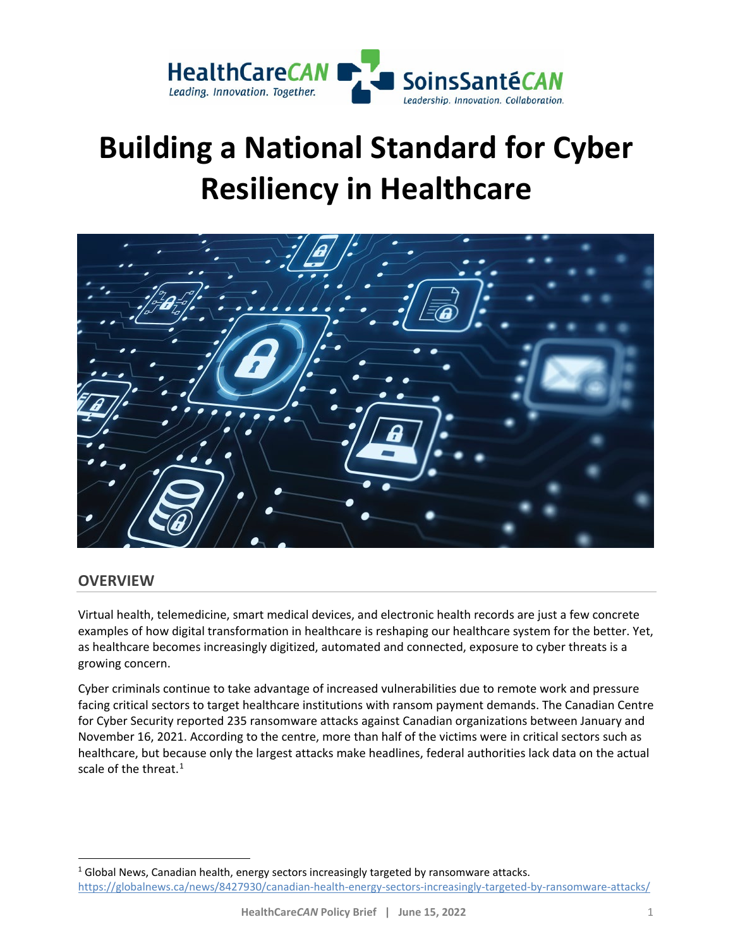

# **Building a National Standard for Cyber Resiliency in Healthcare**



## **OVERVIEW**

Virtual health, telemedicine, smart medical devices, and electronic health records are just a few concrete examples of how digital transformation in healthcare is reshaping our healthcare system for the better. Yet, as healthcare becomes increasingly digitized, automated and connected, exposure to cyber threats is a growing concern.

Cyber criminals continue to take advantage of increased vulnerabilities due to remote work and pressure facing critical sectors to target healthcare institutions with ransom payment demands. The Canadian Centre for Cyber Security reported 235 ransomware attacks against Canadian organizations between January and November 16, 2021. According to the centre, more than half of the victims were in critical sectors such as healthcare, but because only the largest attacks make headlines, federal authorities lack data on the actual scale of the threat. $1$ 

<span id="page-0-0"></span> $<sup>1</sup>$  Global News, Canadian health, energy sectors increasingly targeted by ransomware attacks.</sup> <https://globalnews.ca/news/8427930/canadian-health-energy-sectors-increasingly-targeted-by-ransomware-attacks/>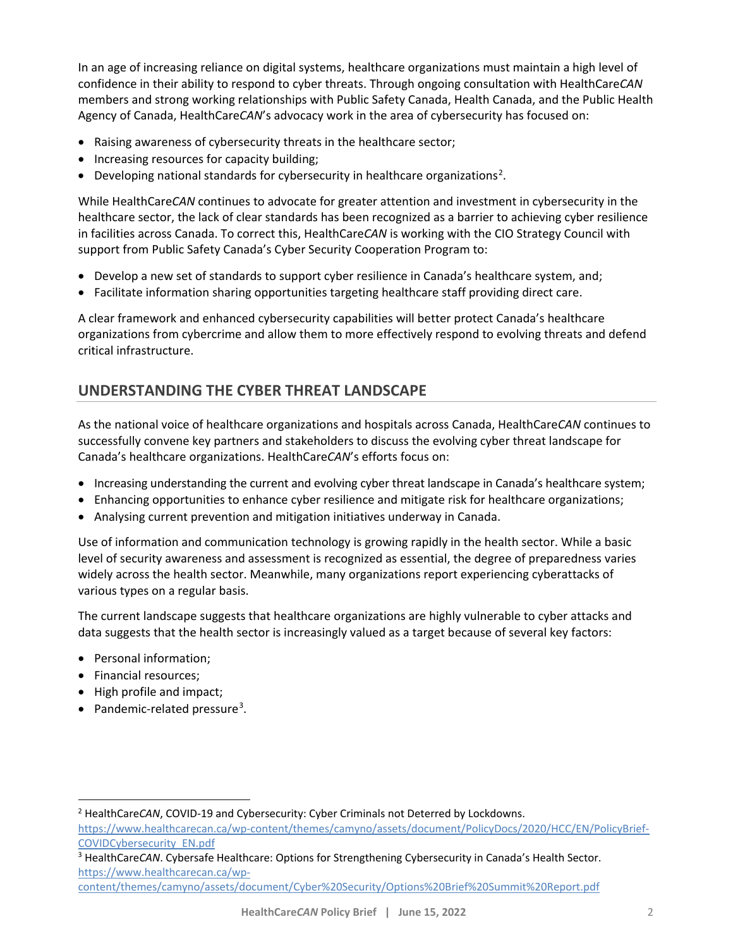In an age of increasing reliance on digital systems, healthcare organizations must maintain a high level of confidence in their ability to respond to cyber threats. Through ongoing consultation with HealthCare*CAN* members and strong working relationships with Public Safety Canada, Health Canada, and the Public Health Agency of Canada, HealthCare*CAN*'s advocacy work in the area of cybersecurity has focused on:

- Raising awareness of cybersecurity threats in the healthcare sector;
- Increasing resources for capacity building;
- Developing national standards for cybersecurity in healthcare organizations<sup>[2](#page-1-0)</sup>.

While HealthCare*CAN* continues to advocate for greater attention and investment in cybersecurity in the healthcare sector, the lack of clear standards has been recognized as a barrier to achieving cyber resilience in facilities across Canada. To correct this, HealthCare*CAN* is working with the CIO Strategy Council with support from Public Safety Canada's Cyber Security Cooperation Program to:

- Develop a new set of standards to support cyber resilience in Canada's healthcare system, and;
- Facilitate information sharing opportunities targeting healthcare staff providing direct care.

A clear framework and enhanced cybersecurity capabilities will better protect Canada's healthcare organizations from cybercrime and allow them to more effectively respond to evolving threats and defend critical infrastructure.

## **UNDERSTANDING THE CYBER THREAT LANDSCAPE**

As the national voice of healthcare organizations and hospitals across Canada, HealthCare*CAN* continues to successfully convene key partners and stakeholders to discuss the evolving cyber threat landscape for Canada's healthcare organizations. HealthCare*CAN*'s efforts focus on:

- Increasing understanding the current and evolving cyber threat landscape in Canada's healthcare system;
- Enhancing opportunities to enhance cyber resilience and mitigate risk for healthcare organizations;
- Analysing current prevention and mitigation initiatives underway in Canada.

Use of information and communication technology is growing rapidly in the health sector. While a basic level of security awareness and assessment is recognized as essential, the degree of preparedness varies widely across the health sector. Meanwhile, many organizations report experiencing cyberattacks of various types on a regular basis.

The current landscape suggests that healthcare organizations are highly vulnerable to cyber attacks and data suggests that the health sector is increasingly valued as a target because of several key factors:

- Personal information;
- Financial resources;
- High profile and impact;
- Pandemic-related pressure<sup>[3](#page-1-1)</sup>.

<span id="page-1-0"></span><sup>2</sup> HealthCare*CAN*, COVID-19 and Cybersecurity: Cyber Criminals not Deterred by Lockdowns.

[https://www.healthcarecan.ca/wp-content/themes/camyno/assets/document/PolicyDocs/2020/HCC/EN/PolicyBrief-](https://www.healthcarecan.ca/wp-content/themes/camyno/assets/document/PolicyDocs/2020/HCC/EN/PolicyBrief-COVIDCybersecurity_EN.pdf)[COVIDCybersecurity\\_EN.pdf](https://www.healthcarecan.ca/wp-content/themes/camyno/assets/document/PolicyDocs/2020/HCC/EN/PolicyBrief-COVIDCybersecurity_EN.pdf)

<span id="page-1-1"></span><sup>3</sup> HealthCare*CAN*. Cybersafe Healthcare: Options for Strengthening Cybersecurity in Canada's Health Sector. [https://www.healthcarecan.ca/wp-](https://www.healthcarecan.ca/wp-content/themes/camyno/assets/document/Cyber%20Security/Options%20Brief%20Summit%20Report.pdf)

[content/themes/camyno/assets/document/Cyber%20Security/Options%20Brief%20Summit%20Report.pdf](https://www.healthcarecan.ca/wp-content/themes/camyno/assets/document/Cyber%20Security/Options%20Brief%20Summit%20Report.pdf)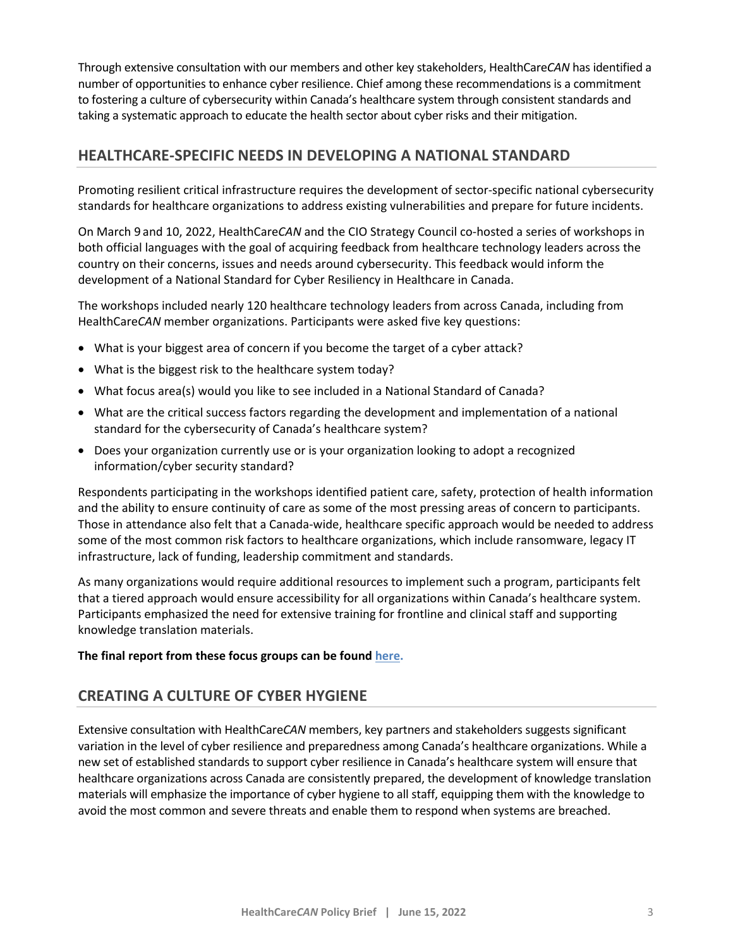Through extensive consultation with our members and other key stakeholders, HealthCare*CAN* has identified a number of opportunities to enhance cyber resilience. Chief among these recommendations is a commitment to fostering a culture of cybersecurity within Canada's healthcare system through consistent standards and taking a systematic approach to educate the health sector about cyber risks and their mitigation.

## **HEALTHCARE-SPECIFIC NEEDS IN DEVELOPING A NATIONAL STANDARD**

Promoting resilient critical infrastructure requires the development of sector-specific national cybersecurity standards for healthcare organizations to address existing vulnerabilities and prepare for future incidents.

On March 9 and 10, 2022, HealthCare*CAN* and the CIO Strategy Council co-hosted a series of workshops in both official languages with the goal of acquiring feedback from healthcare technology leaders across the country on their concerns, issues and needs around cybersecurity. This feedback would inform the development of a National Standard for Cyber Resiliency in Healthcare in Canada.

The workshops included nearly 120 healthcare technology leaders from across Canada, including from HealthCare*CAN* member organizations. Participants were asked five key questions:

- What is your biggest area of concern if you become the target of a cyber attack?
- What is the biggest risk to the healthcare system today?
- What focus area(s) would you like to see included in a National Standard of Canada?
- What are the critical success factors regarding the development and implementation of a national standard for the cybersecurity of Canada's healthcare system?
- Does your organization currently use or is your organization looking to adopt a recognized information/cyber security standard?

Respondents participating in the workshops identified patient care, safety, protection of health information and the ability to ensure continuity of care as some of the most pressing areas of concern to participants. Those in attendance also felt that a Canada-wide, healthcare specific approach would be needed to address some of the most common risk factors to healthcare organizations, which include ransomware, legacy IT infrastructure, lack of funding, leadership commitment and standards.

As many organizations would require additional resources to implement such a program, participants felt that a tiered approach would ensure accessibility for all organizations within Canada's healthcare system. Participants emphasized the need for extensive training for frontline and clinical staff and supporting knowledge translation materials.

#### **The final report from these focus groups can be foun[d here.](https://ciostrategycouncil.com/wp-content/uploads/2022/04/FINAL_RPT_118_Workshops_2022-03-31.pdf)**

## **CREATING A CULTURE OF CYBER HYGIENE**

Extensive consultation with HealthCare*CAN* members, key partners and stakeholders suggests significant variation in the level of cyber resilience and preparedness among Canada's healthcare organizations. While a new set of established standards to support cyber resilience in Canada's healthcare system will ensure that healthcare organizations across Canada are consistently prepared, the development of knowledge translation materials will emphasize the importance of cyber hygiene to all staff, equipping them with the knowledge to avoid the most common and severe threats and enable them to respond when systems are breached.